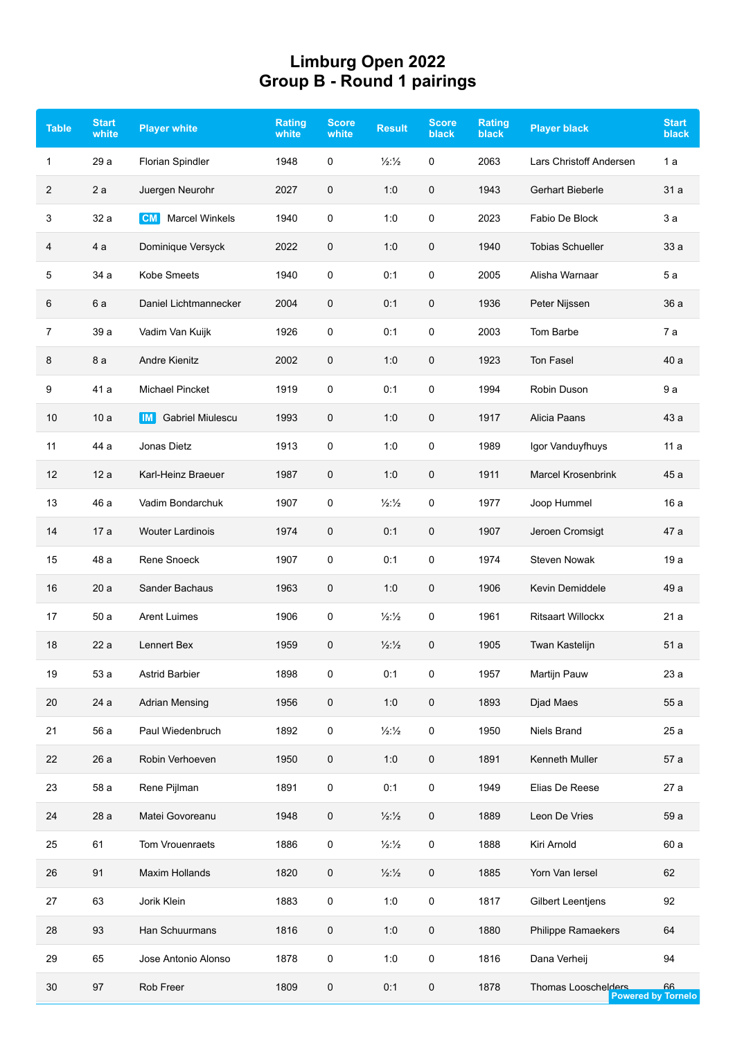## **Limburg Open 2022 Group B - Round 1 pairings**

| <b>Table</b>   | <b>Start</b><br>white | <b>Player white</b>                | <b>Rating</b><br>white | <b>Score</b><br>white | <b>Result</b>                 | <b>Score</b><br>black | <b>Rating</b><br><b>black</b> | <b>Player black</b>       | <b>Start</b><br><b>black</b>    |
|----------------|-----------------------|------------------------------------|------------------------|-----------------------|-------------------------------|-----------------------|-------------------------------|---------------------------|---------------------------------|
| $\mathbf{1}$   | 29 a                  | <b>Florian Spindler</b>            | 1948                   | 0                     | $\frac{1}{2}\frac{1}{2}$      | $\mathbf 0$           | 2063                          | Lars Christoff Andersen   | 1 a                             |
| 2              | 2a                    | Juergen Neurohr                    | 2027                   | 0                     | 1:0                           | 0                     | 1943                          | Gerhart Bieberle          | 31 a                            |
| 3              | 32 a                  | <b>Marcel Winkels</b><br><b>CM</b> | 1940                   | 0                     | 1:0                           | 0                     | 2023                          | Fabio De Block            | 3a                              |
| 4              | 4 a                   | Dominique Versyck                  | 2022                   | 0                     | 1:0                           | $\pmb{0}$             | 1940                          | <b>Tobias Schueller</b>   | 33 a                            |
| 5              | 34 a                  | Kobe Smeets                        | 1940                   | 0                     | 0:1                           | $\mathbf 0$           | 2005                          | Alisha Warnaar            | 5a                              |
| 6              | 6 a                   | Daniel Lichtmannecker              | 2004                   | 0                     | 0:1                           | 0                     | 1936                          | Peter Nijssen             | 36 a                            |
| $\overline{7}$ | 39 a                  | Vadim Van Kuijk                    | 1926                   | 0                     | 0:1                           | $\mathbf 0$           | 2003                          | Tom Barbe                 | 7 а                             |
| 8              | 8 a                   | <b>Andre Kienitz</b>               | 2002                   | 0                     | 1:0                           | 0                     | 1923                          | Ton Fasel                 | 40 a                            |
| 9              | 41 a                  | <b>Michael Pincket</b>             | 1919                   | 0                     | 0:1                           | $\pmb{0}$             | 1994                          | Robin Duson               | 9 a                             |
| 10             | 10a                   | <b>Gabriel Miulescu</b><br>IM I    | 1993                   | 0                     | 1:0                           | $\mathbf 0$           | 1917                          | Alicia Paans              | 43 a                            |
| 11             | 44 a                  | Jonas Dietz                        | 1913                   | 0                     | 1:0                           | $\mathbf 0$           | 1989                          | Igor Vanduyfhuys          | 11a                             |
| 12             | 12a                   | Karl-Heinz Braeuer                 | 1987                   | 0                     | 1:0                           | $\mathbf 0$           | 1911                          | <b>Marcel Krosenbrink</b> | 45 a                            |
| 13             | 46 a                  | Vadim Bondarchuk                   | 1907                   | 0                     | $\frac{1}{2}\frac{1}{2}$      | $\mathbf 0$           | 1977                          | Joop Hummel               | 16a                             |
| 14             | 17a                   | <b>Wouter Lardinois</b>            | 1974                   | 0                     | 0:1                           | $\pmb{0}$             | 1907                          | Jeroen Cromsigt           | 47 a                            |
| 15             | 48 a                  | Rene Snoeck                        | 1907                   | 0                     | 0:1                           | $\pmb{0}$             | 1974                          | <b>Steven Nowak</b>       | 19a                             |
| 16             | 20a                   | Sander Bachaus                     | 1963                   | 0                     | 1:0                           | 0                     | 1906                          | Kevin Demiddele           | 49 a                            |
| 17             | 50a                   | <b>Arent Luimes</b>                | 1906                   | 0                     | $\frac{1}{2}\frac{1}{2}$      | $\mathbf 0$           | 1961                          | <b>Ritsaart Willockx</b>  | 21a                             |
| 18             | 22a                   | Lennert Bex                        | 1959                   | 0                     | $\frac{1}{2}\frac{1}{2}$      | $\pmb{0}$             | 1905                          | Twan Kastelijn            | 51 a                            |
| 19             | 53 a                  | Astrid Barbier                     | 1898                   | 0                     | 0:1                           | 0                     | 1957                          | Martijn Pauw              | 23 a                            |
| 20             | 24 a                  | <b>Adrian Mensing</b>              | 1956                   | 0                     | 1:0                           | $\pmb{0}$             | 1893                          | Djad Maes                 | 55a                             |
| 21             | 56 a                  | Paul Wiedenbruch                   | 1892                   | 0                     | $\frac{1}{2}\frac{1}{2}$      | 0                     | 1950                          | Niels Brand               | 25 a                            |
| 22             | 26 a                  | Robin Verhoeven                    | 1950                   | 0                     | 1:0                           | $\pmb{0}$             | 1891                          | Kenneth Muller            | 57 a                            |
| 23             | 58 a                  | Rene Pijlman                       | 1891                   | 0                     | 0:1                           | 0                     | 1949                          | Elias De Reese            | 27 a                            |
| 24             | 28 a                  | Matei Govoreanu                    | 1948                   | 0                     | $\frac{1}{2}\frac{1}{2}$      | $\mathbf 0$           | 1889                          | Leon De Vries             | 59 a                            |
| 25             | 61                    | Tom Vrouenraets                    | 1886                   | 0                     | $\frac{1}{2}\frac{1}{2}$      | $\pmb{0}$             | 1888                          | Kiri Arnold               | 60 a                            |
| 26             | 91                    | Maxim Hollands                     | 1820                   | 0                     | $\frac{1}{2}$ : $\frac{1}{2}$ | 0                     | 1885                          | Yorn Van Iersel           | 62                              |
| 27             | 63                    | Jorik Klein                        | 1883                   | 0                     | 1:0                           | 0                     | 1817                          | <b>Gilbert Leentjens</b>  | 92                              |
| 28             | 93                    | Han Schuurmans                     | 1816                   | 0                     | 1:0                           | 0                     | 1880                          | Philippe Ramaekers        | 64                              |
| 29             | 65                    | Jose Antonio Alonso                | 1878                   | 0                     | 1:0                           | $\pmb{0}$             | 1816                          | Dana Verheij              | 94                              |
| 30             | 97                    | Rob Freer                          | 1809                   | 0                     | 0:1                           | 0                     | 1878                          | Thomas Looschelders       | 66<br><b>Powered by Tornelo</b> |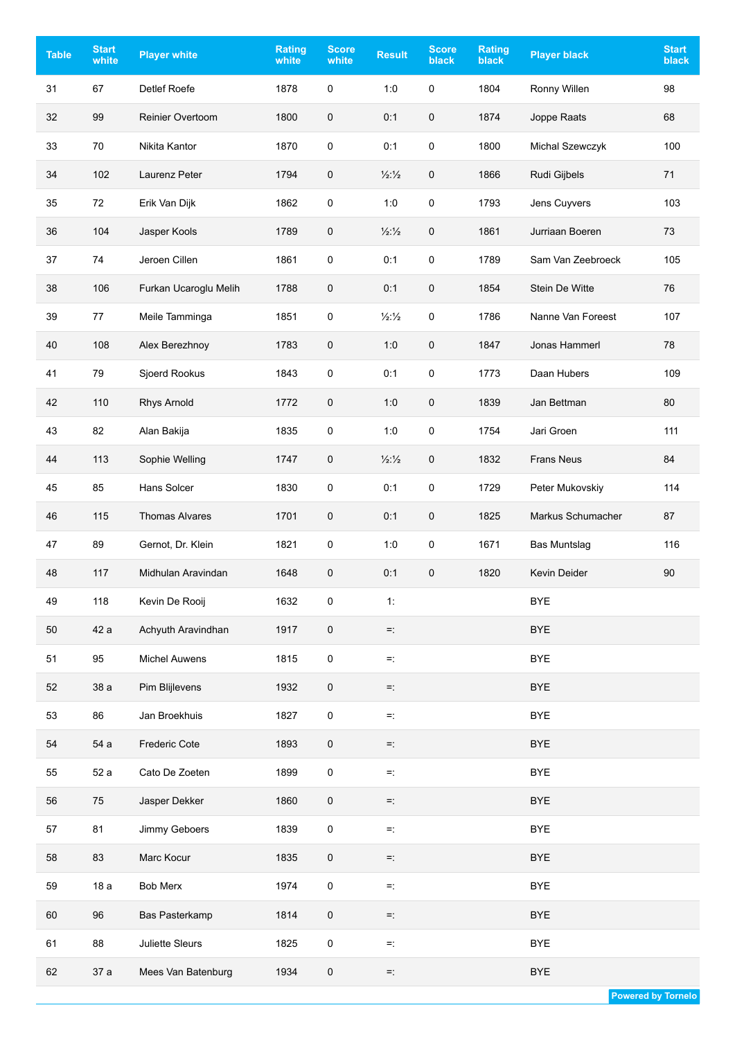| <b>Table</b> | <b>Start</b><br>white | <b>Player white</b>     | <b>Rating</b><br>white | <b>Score</b><br>white | <b>Result</b>            | <b>Score</b><br><b>black</b> | <b>Rating</b><br><b>black</b> | <b>Player black</b> | <b>Start</b><br>black |
|--------------|-----------------------|-------------------------|------------------------|-----------------------|--------------------------|------------------------------|-------------------------------|---------------------|-----------------------|
| 31           | 67                    | Detlef Roefe            | 1878                   | $\mathbf 0$           | 1:0                      | 0                            | 1804                          | Ronny Willen        | 98                    |
| 32           | 99                    | <b>Reinier Overtoom</b> | 1800                   | $\mathsf{O}\xspace$   | 0:1                      | $\pmb{0}$                    | 1874                          | Joppe Raats         | 68                    |
| 33           | 70                    | Nikita Kantor           | 1870                   | $\mathsf 0$           | 0:1                      | 0                            | 1800                          | Michal Szewczyk     | 100                   |
| 34           | 102                   | Laurenz Peter           | 1794                   | 0                     | 1/2:1/2                  | 0                            | 1866                          | Rudi Gijbels        | 71                    |
| 35           | 72                    | Erik Van Dijk           | 1862                   | $\mathbf 0$           | 1:0                      | $\pmb{0}$                    | 1793                          | Jens Cuyvers        | 103                   |
| 36           | 104                   | Jasper Kools            | 1789                   | $\mathsf{O}\xspace$   | $\frac{1}{2}\frac{1}{2}$ | 0                            | 1861                          | Jurriaan Boeren     | 73                    |
| 37           | 74                    | Jeroen Cillen           | 1861                   | 0                     | 0:1                      | 0                            | 1789                          | Sam Van Zeebroeck   | 105                   |
| 38           | 106                   | Furkan Ucaroglu Melih   | 1788                   | $\mathsf{O}\xspace$   | 0:1                      | 0                            | 1854                          | Stein De Witte      | 76                    |
| 39           | 77                    | Meile Tamminga          | 1851                   | $\mathbf 0$           | $\frac{1}{2}\frac{1}{2}$ | 0                            | 1786                          | Nanne Van Foreest   | 107                   |
| 40           | 108                   | Alex Berezhnoy          | 1783                   | $\mathsf{O}\xspace$   | 1:0                      | 0                            | 1847                          | Jonas Hammerl       | 78                    |
| 41           | 79                    | Sjoerd Rookus           | 1843                   | $\mathbf 0$           | 0:1                      | 0                            | 1773                          | Daan Hubers         | 109                   |
| 42           | 110                   | Rhys Arnold             | 1772                   | $\mathsf{O}\xspace$   | 1:0                      | 0                            | 1839                          | Jan Bettman         | 80                    |
| 43           | 82                    | Alan Bakija             | 1835                   | $\mathbf 0$           | 1:0                      | 0                            | 1754                          | Jari Groen          | 111                   |
| 44           | 113                   | Sophie Welling          | 1747                   | $\mathsf{O}\xspace$   | $\frac{1}{2}\frac{1}{2}$ | $\mathbf 0$                  | 1832                          | <b>Frans Neus</b>   | 84                    |
| 45           | 85                    | Hans Solcer             | 1830                   | $\mathsf 0$           | 0:1                      | $\pmb{0}$                    | 1729                          | Peter Mukovskiy     | 114                   |
| 46           | 115                   | <b>Thomas Alvares</b>   | 1701                   | $\mathsf{O}\xspace$   | 0:1                      | 0                            | 1825                          | Markus Schumacher   | 87                    |
| 47           | 89                    | Gernot, Dr. Klein       | 1821                   | 0                     | 1:0                      | $\pmb{0}$                    | 1671                          | <b>Bas Muntslag</b> | 116                   |
| 48           | 117                   | Midhulan Aravindan      | 1648                   | 0                     | 0:1                      | 0                            | 1820                          | Kevin Deider        | 90                    |
| 49           | 118                   | Kevin De Rooij          | 1632                   | $\pmb{0}$             | 1:                       |                              |                               | <b>BYE</b>          |                       |
| 50           | 42 a                  | Achyuth Aravindhan      | 1917                   | $\pmb{0}$             | $=^{\circ}$              |                              |                               | <b>BYE</b>          |                       |
| 51           | 95                    | Michel Auwens           | 1815                   | $\mathsf{O}\xspace$   | $=$ :                    |                              |                               | <b>BYE</b>          |                       |
| 52           | 38 a                  | Pim Blijlevens          | 1932                   | $\mathbf 0$           | Ξ.                       |                              |                               | <b>BYE</b>          |                       |
| 53           | 86                    | Jan Broekhuis           | 1827                   | $\pmb{0}$             | $=$ :                    |                              |                               | <b>BYE</b>          |                       |
| 54           | 54 a                  | <b>Frederic Cote</b>    | 1893                   | $\pmb{0}$             | $=^{\circ}$              |                              |                               | <b>BYE</b>          |                       |
| 55           | 52 a                  | Cato De Zoeten          | 1899                   | $\mathsf{O}\xspace$   | $=$ :                    |                              |                               | <b>BYE</b>          |                       |
| 56           | 75                    | Jasper Dekker           | 1860                   | $\mathbf 0$           | $=^{\circ}$              |                              |                               | <b>BYE</b>          |                       |
| 57           | 81                    | Jimmy Geboers           | 1839                   | $\pmb{0}$             | Ξ.                       |                              |                               | <b>BYE</b>          |                       |
| 58           | 83                    | Marc Kocur              | 1835                   | $\mathsf{O}\xspace$   | Ξ.                       |                              |                               | <b>BYE</b>          |                       |
| 59           | 18 a                  | <b>Bob Merx</b>         | 1974                   | $\pmb{0}$             | $=$ :                    |                              |                               | <b>BYE</b>          |                       |
| 60           | 96                    | Bas Pasterkamp          | 1814                   | $\mathbf 0$           | $\equiv$                 |                              |                               | <b>BYE</b>          |                       |
| 61           | 88                    | Juliette Sleurs         | 1825                   | 0                     | $=$ :                    |                              |                               | <b>BYE</b>          |                       |
| 62           | 37 a                  | Mees Van Batenburg      | 1934                   | $\pmb{0}$             | $=^{\circ}$              |                              |                               | <b>BYE</b>          |                       |